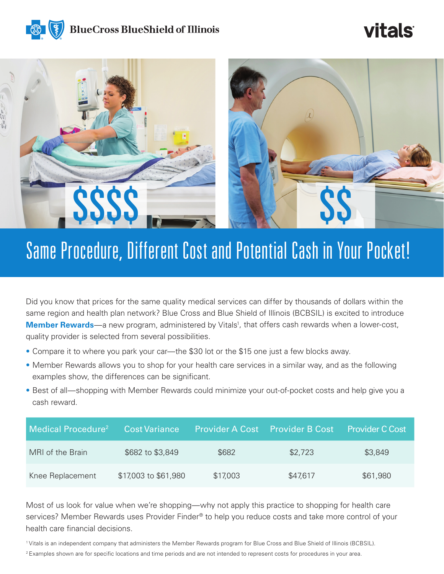

# **vitals**



# Same Procedure, Different Cost and Potential Cash in Your Pocket!

Did you know that prices for the same quality medical services can differ by thousands of dollars within the same region and health plan network? Blue Cross and Blue Shield of Illinois (BCBSIL) is excited to introduce **Member Rewards**—a new program, administered by Vitals<sup>1</sup>, that offers cash rewards when a lower-cost, quality provider is selected from several possibilities.

- Compare it to where you park your car—the \$30 lot or the \$15 one just a few blocks away.
- Member Rewards allows you to shop for your health care services in a similar way, and as the following examples show, the differences can be significant.
- Best of all—shopping with Member Rewards could minimize your out-of-pocket costs and help give you a cash reward.

| Medical Procedure <sup>2</sup> | <b>Cost Variance</b> |          | <b>Provider A Cost</b> Provider B Cost | <b>Provider C Cost</b> |
|--------------------------------|----------------------|----------|----------------------------------------|------------------------|
| MRI of the Brain               | \$682 to \$3,849     | \$682    | \$2,723                                | \$3,849                |
| Knee Replacement               | \$17,003 to \$61,980 | \$17,003 | \$47,617                               | \$61,980               |

Most of us look for value when we're shopping—why not apply this practice to shopping for health care services? Member Rewards uses Provider Finder® to help you reduce costs and take more control of your health care financial decisions.

1 Vitals is an independent company that administers the Member Rewards program for Blue Cross and Blue Shield of Illinois (BCBSIL).

<sup>2</sup> Examples shown are for specific locations and time periods and are not intended to represent costs for procedures in your area.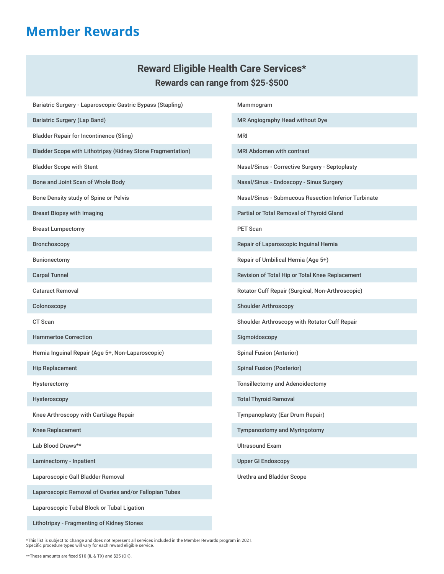### **Member Rewards**

### **Reward Eligible Health Care Services\* Rewards can range from \$25-\$500**

Bariatric Surgery - Laparoscopic Gastric Bypass (Stapling) Bariatric Surgery (Lap Band) Bladder Repair for Incontinence (Sling) Bladder Scope with Lithotripsy (Kidney Stone Fragmentation) Bladder Scope with Stent Bone and Joint Scan of Whole Body Bone Density study of Spine or Pelvis Breast Biopsy with Imaging Breast Lumpectomy Bronchoscopy Bunionectomy Carpal Tunnel Cataract Removal Colonoscopy CT Scan Hammertoe Correction Hernia Inguinal Repair (Age 5+, Non-Laparoscopic) Hip Replacement Hysterectomy Hysteroscopy Knee Arthroscopy with Cartilage Repair Knee Replacement Lab Blood Draws\*\* Laminectomy - Inpatient Laparoscopic Gall Bladder Removal Laparoscopic Removal of Ovaries and/or Fallopian Tubes Laparoscopic Tubal Block or Tubal Ligation Mammogram MR Angiography Head without Dye MRI MRI Abdomen with contrast Nasal/Sinus - Corrective Surgery - Septoplasty Nasal/Sinus - Endoscopy - Sinus Surgery Nasal/Sinus - Submucous Resection Inferior Turbinate Partial or Total Removal of Thyroid Gland PET Scan Repair of Laparoscopic Inguinal Hernia Repair of Umbilical Hernia (Age 5+) Revision of Total Hip or Total Knee Replacement Rotator Cuff Repair (Surgical, Non-Arthroscopic) Shoulder Arthroscopy Shoulder Arthroscopy with Rotator Cuff Repair Sigmoidoscopy Spinal Fusion (Anterior) Spinal Fusion (Posterior) Tonsillectomy and Adenoidectomy Total Thyroid Removal Tympanoplasty (Ear Drum Repair) Tympanostomy and Myringotomy Ultrasound Exam Upper GI Endoscopy Urethra and Bladder Scope

\*This list is subject to change and does not represent all services included in the Member Rewards program in 2021. Specific procedure types will vary for each reward eligible service.

Lithotripsy - Fragmenting of Kidney Stones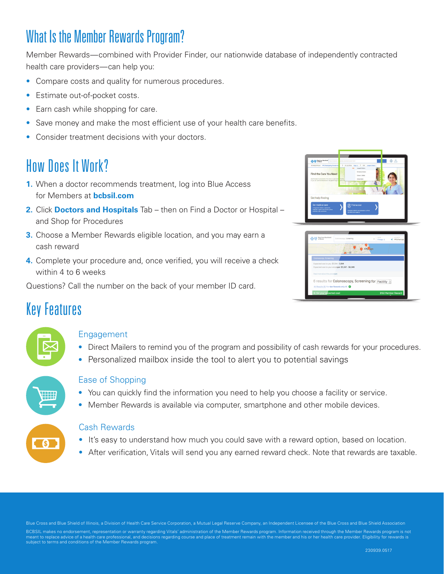## What Is the Member Rewards Program?

Member Rewards—combined with Provider Finder, our nationwide database of independently contracted health care providers—can help you:

- Compare costs and quality for numerous procedures.
- Estimate out-of-pocket costs.
- Earn cash while shopping for care.
- Save money and make the most efficient use of your health care benefits.
- Consider treatment decisions with your doctors.

## How Does It Work?

- **1.** When a doctor recommends treatment, log into Blue Access for Members at **bcbsil.com**
- **2.** Click **Doctors and Hospitals** Tab then on Find a Doctor or Hospital and Shop for Procedures
- **3.** Choose a Member Rewards eligible location, and you may earn a cash reward
- **4.** Complete your procedure and, once verified, you will receive a check within 4 to 6 weeks

Questions? Call the number on the back of your member ID card.

| <b>RhoCras Ractivide</b><br>of Rinch                                                                                                                                                                               | A.<br>Saarch doctors, in prices, procedures and more<br>æ                                                                                |
|--------------------------------------------------------------------------------------------------------------------------------------------------------------------------------------------------------------------|------------------------------------------------------------------------------------------------------------------------------------------|
| MYHEAZH PLAN PPO (Participating Provider Opt)<br>Find the Care You Need<br>that the search par above to find a doctor, specialist a facility.<br>Or you can use the tiles below to nevigate through on pare diret. | s.<br>MYLOCATION<br>ENV.E. 3 FOR JENNISDANCE *<br>Joseph D. Niedo<br><b>FOR</b><br>Kinberly A Alebo<br>Crewy Liabs<br><b>China Kalin</b> |
| Get help finding                                                                                                                                                                                                   |                                                                                                                                          |
| Get medical care<br>Find peneral doctors, specialists.<br>hospitals, urgent cars centers, group<br>practices, late, and more.                                                                                      | Find a cost<br>Company costs for any procedure, or find<br>out what your copay is.                                                       |

| <b>ElseCross Elsefibirid</b><br>of IES works | Colonoscopy, Screening                            | AFER<br>$\times$<br>Chicago, IL | ACCEPTS<br>PPO Participa. |
|----------------------------------------------|---------------------------------------------------|---------------------------------|---------------------------|
|                                              | $\frac{1}{2}$<br>$\overline{m}$ $\overline{m}$    | Chivago                         |                           |
| Colonoscopy, Screening                       |                                                   |                                 |                           |
| Expected cost to you: \$1,154 - 1,994        | Expected cost to your employer: \$1,387 - \$8,946 |                                 |                           |
| Read more about this procedure               |                                                   |                                 |                           |
| All Results [6] Member Rewards only [4]      | 6 results for Colonoscopy, Screening for Facility |                                 |                           |
| \$1.154 your expected cost                   |                                                   |                                 | \$150 Member Reward       |

### Key Features

#### Engagement

- Direct Mailers to remind you of the program and possibility of cash rewards for your procedures.
- Personalized mailbox inside the tool to alert you to potential savings

#### Ease of Shopping

- You can quickly find the information you need to help you choose a facility or service.
- Member Rewards is available via computer, smartphone and other mobile devices.

#### Cash Rewards

- It's easy to understand how much you could save with a reward option, based on location.
- After verification, Vitals will send you any earned reward check. Note that rewards are taxable.

Blue Cross and Blue Shield of Illinois, a Division of Health Care Service Corporation, a Mutual Legal Reserve Company, an Independent Licensee of the Blue Cross and Blue Shield Association BCBSIL makes no endorsement, representation or warranty regarding Vitals' administration of the Member Rewards program. Information received through the Member Rewards program is not ons regarding course and place of treatment remain with the member and his or her health care provider. Eligibility for rewards is meant to replace advice of a health care professional, and decisior<br>subject to terms and conditions of the Member Rewards program.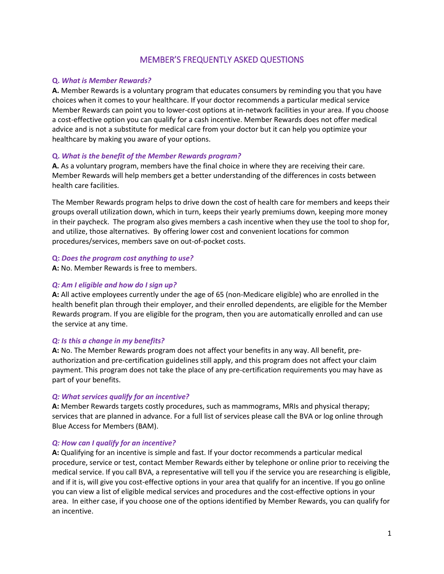#### MEMBER'S FREQUENTLY ASKED QUESTIONS

#### **Q.** *What is Member Rewards?*

**A.** Member Rewards is a voluntary program that educates consumers by reminding you that you have choices when it comes to your healthcare. If your doctor recommends a particular medical service Member Rewards can point you to lower-cost options at in-network facilities in your area. If you choose a cost-effective option you can qualify for a cash incentive. Member Rewards does not offer medical advice and is not a substitute for medical care from your doctor but it can help you optimize your healthcare by making you aware of your options.

#### **Q.** *What is the benefit of the Member Rewards program?*

**A.** As a voluntary program, members have the final choice in where they are receiving their care. Member Rewards will help members get a better understanding of the differences in costs between health care facilities.

The Member Rewards program helps to drive down the cost of health care for members and keeps their groups overall utilization down, which in turn, keeps their yearly premiums down, keeping more money in their paycheck. The program also gives members a cash incentive when they use the tool to shop for, and utilize, those alternatives. By offering lower cost and convenient locations for common procedures/services, members save on out-of-pocket costs.

#### **Q:** *Does the program cost anything to use?*

**A:** No. Member Rewards is free to members.

#### *Q: Am I eligible and how do I sign up?*

**A:** All active employees currently under the age of 65 (non-Medicare eligible) who are enrolled in the health benefit plan through their employer, and their enrolled dependents, are eligible for the Member Rewards program. If you are eligible for the program, then you are automatically enrolled and can use the service at any time.

#### *Q: Is this a change in my benefits?*

**A:** No. The Member Rewards program does not affect your benefits in any way. All benefit, preauthorization and pre-certification guidelines still apply, and this program does not affect your claim payment. This program does not take the place of any pre-certification requirements you may have as part of your benefits.

#### *Q: What services qualify for an incentive?*

**A:** Member Rewards targets costly procedures, such as mammograms, MRIs and physical therapy; services that are planned in advance. For a full list of services please call the BVA or log online through Blue Access for Members (BAM).

#### *Q: How can I qualify for an incentive?*

**A:** Qualifying for an incentive is simple and fast. If your doctor recommends a particular medical procedure, service or test, contact Member Rewards either by telephone or online prior to receiving the medical service. If you call BVA, a representative will tell you if the service you are researching is eligible, and if it is, will give you cost-effective options in your area that qualify for an incentive. If you go online you can view a list of eligible medical services and procedures and the cost-effective options in your area. In either case, if you choose one of the options identified by Member Rewards, you can qualify for an incentive.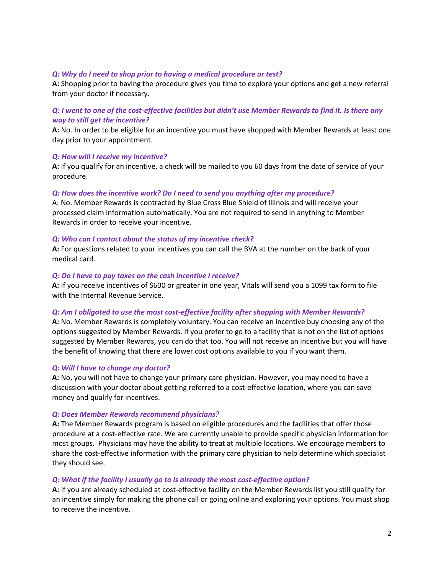#### *Q: Why do I need to shop prior to having a medical procedure or test?*

**A:** Shopping prior to having the procedure gives you time to explore your options and get a new referral from your doctor if necessary.

#### *Q: I went to one of the cost-effective facilities but didn't use Member Rewards to find it. Is there any way to still get the incentive?*

**A:** No. In order to be eligible for an incentive you must have shopped with Member Rewards at least one day prior to your appointment.

#### *Q: How will I receive my incentive?*

**A:** If you qualify for an incentive, a check will be mailed to you 60 days from the date of service of your procedure.

#### *Q: How does the incentive work? Do I need to send you anything after my procedure?*

A: No. Member Rewards is contracted by Blue Cross Blue Shield of Illinois and will receive your processed claim information automatically. You are not required to send in anything to Member Rewards in order to receive your incentive.

#### *Q: Who can I contact about the status of my incentive check?*

**A:** For questions related to your incentives you can call the BVA at the number on the back of your medical card.

#### *Q: Do I have to pay taxes on the cash incentive I receive?*

**A:** If you receive incentives of \$600 or greater in one year, Vitals will send you a 1099 tax form to file with the Internal Revenue Service.

#### *Q: Am I obligated to use the most cost-effective facility after shopping with Member Rewards?*

**A:** No. Member Rewards is completely voluntary. You can receive an incentive buy choosing any of the options suggested by Member Rewards. If you prefer to go to a facility that is not on the list of options suggested by Member Rewards, you can do that too. You will not receive an incentive but you will have the benefit of knowing that there are lower cost options available to you if you want them.

#### *Q: Will I have to change my doctor?*

**A:** No, you will not have to change your primary care physician. However, you may need to have a discussion with your doctor about getting referred to a cost-effective location, where you can save money and qualify for incentives.

#### *Q: Does Member Rewards recommend physicians?*

**A:** The Member Rewards program is based on eligible procedures and the facilities that offer those procedure at a cost-effective rate. We are currently unable to provide specific physician information for most groups. Physicians may have the ability to treat at multiple locations. We encourage members to share the cost-effective information with the primary care physician to help determine which specialist they should see.

#### *Q: What if the facility I usually go to is already the most cost-effective option?*

**A:** If you are already scheduled at cost-effective facility on the Member Rewards list you still qualify for an incentive simply for making the phone call or going online and exploring your options. You must shop to receive the incentive.